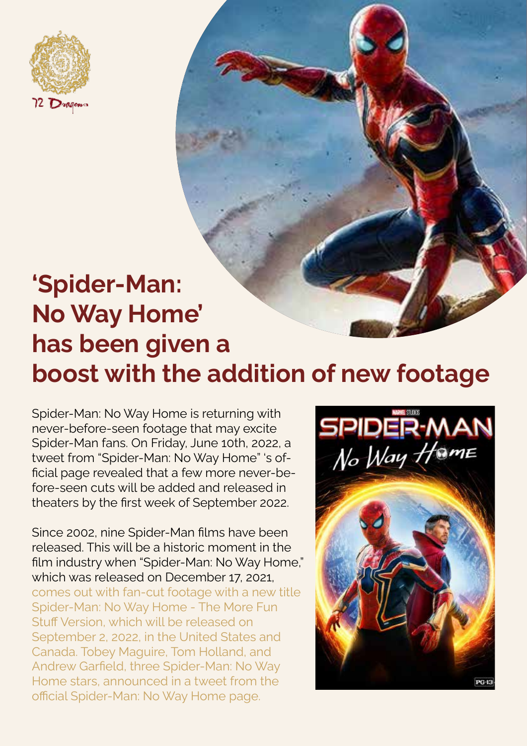

## **'Spider-Man: No Way Home' has been given a boost with the addition of new footage**

Spider-Man: No Way Home is returning with never-before-seen footage that may excite Spider-Man fans. On Friday, June 10th, 2022, a tweet from "Spider-Man: No Way Home" 's official page revealed that a few more never-before-seen cuts will be added and released in theaters by the first week of September 2022.

Since 2002, nine Spider-Man films have been released. This will be a historic moment in the film industry when "Spider-Man: No Way Home," which was released on December 17, 2021, comes out with fan-cut footage with a new title Spider-Man: No Way Home - The More Fun Stuff Version, which will be released on September 2, 2022, in the United States and Canada. Tobey Maguire, Tom Holland, and Andrew Garfield, three Spider-Man: No Way Home stars, announced in a tweet from the official Spider-Man: No Way Home page.